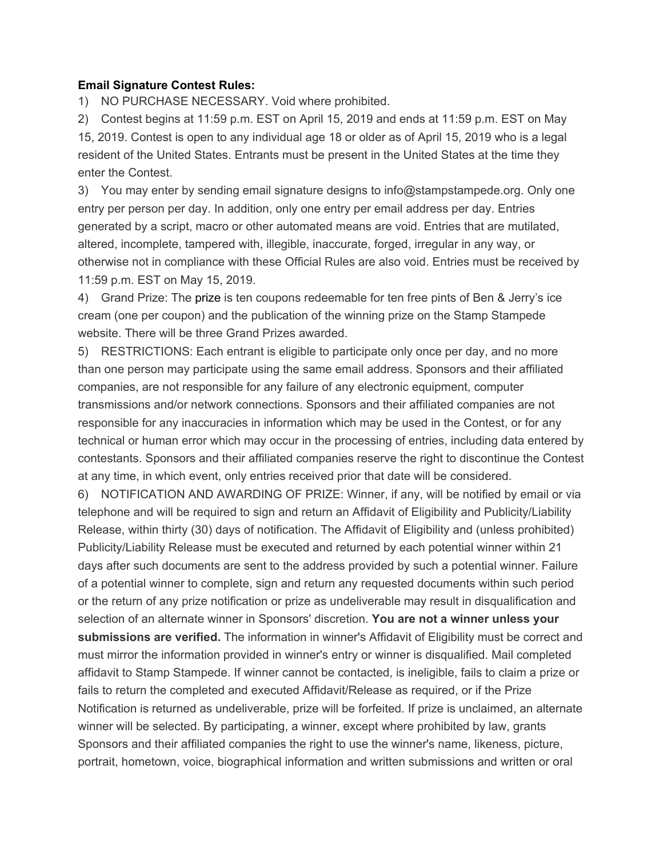## **Email Signature Contest Rules:**

1) NO PURCHASE NECESSARY. Void where prohibited.

2) Contest begins at 11:59 p.m. EST on April 15, 2019 and ends at 11:59 p.m. EST on May 15, 2019. Contest is open to any individual age 18 or older as of April 15, 2019 who is a legal resident of the United States. Entrants must be present in the United States at the time they enter the Contest.

3) You may enter by sending email signature designs to info@stampstampede.org. Only one entry per person per day. In addition, only one entry per email address per day. Entries generated by a script, macro or other automated means are void. Entries that are mutilated, altered, incomplete, tampered with, illegible, inaccurate, forged, irregular in any way, or otherwise not in compliance with these Official Rules are also void. Entries must be received by 11:59 p.m. EST on May 15, 2019.

4) Grand Prize: The prize is ten coupons redeemable for ten free pints of Ben & Jerry's ice cream (one per coupon) and the publication of the winning prize on the Stamp Stampede website. There will be three Grand Prizes awarded.

5) RESTRICTIONS: Each entrant is eligible to participate only once per day, and no more than one person may participate using the same email address. Sponsors and their affiliated companies, are not responsible for any failure of any electronic equipment, computer transmissions and/or network connections. Sponsors and their affiliated companies are not responsible for any inaccuracies in information which may be used in the Contest, or for any technical or human error which may occur in the processing of entries, including data entered by contestants. Sponsors and their affiliated companies reserve the right to discontinue the Contest at any time, in which event, only entries received prior that date will be considered.

6) NOTIFICATION AND AWARDING OF PRIZE: Winner, if any, will be notified by email or via telephone and will be required to sign and return an Affidavit of Eligibility and Publicity/Liability Release, within thirty (30) days of notification. The Affidavit of Eligibility and (unless prohibited) Publicity/Liability Release must be executed and returned by each potential winner within 21 days after such documents are sent to the address provided by such a potential winner. Failure of a potential winner to complete, sign and return any requested documents within such period or the return of any prize notification or prize as undeliverable may result in disqualification and selection of an alternate winner in Sponsors' discretion. **You are not a winner unless your submissions are verified.** The information in winner's Affidavit of Eligibility must be correct and must mirror the information provided in winner's entry or winner is disqualified. Mail completed affidavit to Stamp Stampede. If winner cannot be contacted, is ineligible, fails to claim a prize or fails to return the completed and executed Affidavit/Release as required, or if the Prize Notification is returned as undeliverable, prize will be forfeited. If prize is unclaimed, an alternate winner will be selected. By participating, a winner, except where prohibited by law, grants Sponsors and their affiliated companies the right to use the winner's name, likeness, picture, portrait, hometown, voice, biographical information and written submissions and written or oral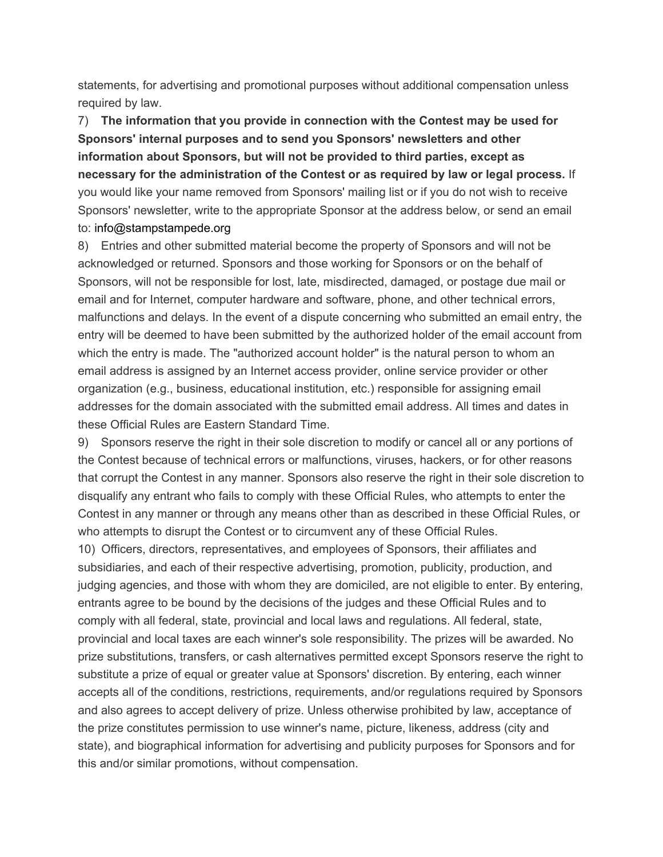statements, for advertising and promotional purposes without additional compensation unless required by law.

7) **The information that you provide in connection with the Contest may be used for Sponsors' internal purposes and to send you Sponsors' newsletters and other information about Sponsors, but will not be provided to third parties, except as necessary for the administration of the Contest or as required by law or legal process.** If you would like your name removed from Sponsors' mailing list or if you do not wish to receive Sponsors' newsletter, write to the appropriate Sponsor at the address below, or send an email to: info@stampstampede.org

8) Entries and other submitted material become the property of Sponsors and will not be acknowledged or returned. Sponsors and those working for Sponsors or on the behalf of Sponsors, will not be responsible for lost, late, misdirected, damaged, or postage due mail or email and for Internet, computer hardware and software, phone, and other technical errors, malfunctions and delays. In the event of a dispute concerning who submitted an email entry, the entry will be deemed to have been submitted by the authorized holder of the email account from which the entry is made. The "authorized account holder" is the natural person to whom an email address is assigned by an Internet access provider, online service provider or other organization (e.g., business, educational institution, etc.) responsible for assigning email addresses for the domain associated with the submitted email address. All times and dates in these Official Rules are Eastern Standard Time.

9) Sponsors reserve the right in their sole discretion to modify or cancel all or any portions of the Contest because of technical errors or malfunctions, viruses, hackers, or for other reasons that corrupt the Contest in any manner. Sponsors also reserve the right in their sole discretion to disqualify any entrant who fails to comply with these Official Rules, who attempts to enter the Contest in any manner or through any means other than as described in these Official Rules, or who attempts to disrupt the Contest or to circumvent any of these Official Rules.

10) Officers, directors, representatives, and employees of Sponsors, their affiliates and subsidiaries, and each of their respective advertising, promotion, publicity, production, and judging agencies, and those with whom they are domiciled, are not eligible to enter. By entering, entrants agree to be bound by the decisions of the judges and these Official Rules and to comply with all federal, state, provincial and local laws and regulations. All federal, state, provincial and local taxes are each winner's sole responsibility. The prizes will be awarded. No prize substitutions, transfers, or cash alternatives permitted except Sponsors reserve the right to substitute a prize of equal or greater value at Sponsors' discretion. By entering, each winner accepts all of the conditions, restrictions, requirements, and/or regulations required by Sponsors and also agrees to accept delivery of prize. Unless otherwise prohibited by law, acceptance of the prize constitutes permission to use winner's name, picture, likeness, address (city and state), and biographical information for advertising and publicity purposes for Sponsors and for this and/or similar promotions, without compensation.